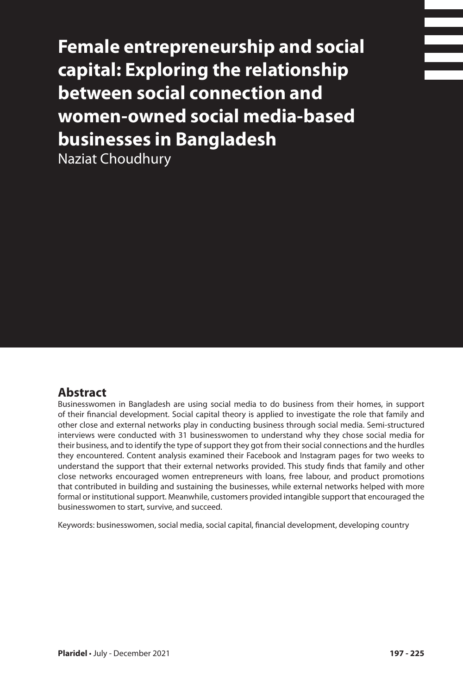**Female entrepreneurship and social capital: Exploring the relationship between social connection and women-owned social media-based businesses in Bangladesh**

Naziat Choudhury

### **Abstract**

Businesswomen in Bangladesh are using social media to do business from their homes, in support of their financial development. Social capital theory is applied to investigate the role that family and other close and external networks play in conducting business through social media. Semi-structured interviews were conducted with 31 businesswomen to understand why they chose social media for their business, and to identify the type of support they got from their social connections and the hurdles they encountered. Content analysis examined their Facebook and Instagram pages for two weeks to understand the support that their external networks provided. This study finds that family and other close networks encouraged women entrepreneurs with loans, free labour, and product promotions that contributed in building and sustaining the businesses, while external networks helped with more formal or institutional support. Meanwhile, customers provided intangible support that encouraged the businesswomen to start, survive, and succeed.

Keywords: businesswomen, social media, social capital, financial development, developing country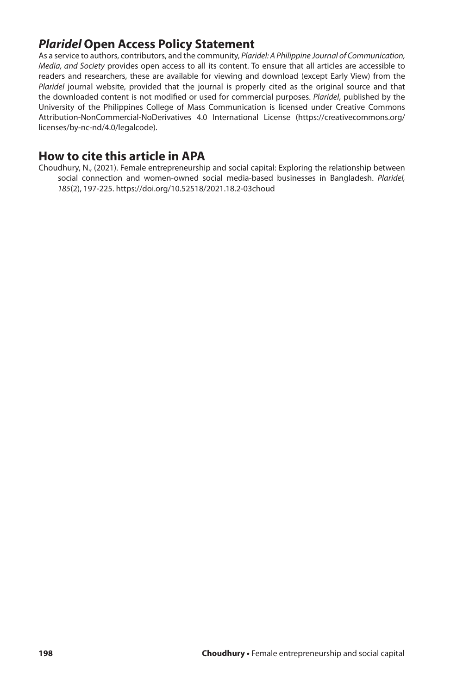## *Plaridel* **Open Access Policy Statement**

As a service to authors, contributors, and the community, *Plaridel: A Philippine Journal of Communication, Media, and Society* provides open access to all its content. To ensure that all articles are accessible to readers and researchers, these are available for viewing and download (except Early View) from the *Plaridel* journal website, provided that the journal is properly cited as the original source and that the downloaded content is not modified or used for commercial purposes. *Plaridel*, published by the University of the Philippines College of Mass Communication is licensed under Creative Commons Attribution-NonCommercial-NoDerivatives 4.0 International License (https://creativecommons.org/ licenses/by-nc-nd/4.0/legalcode).

### **How to cite this article in APA**

Choudhury, N., (2021). Female entrepreneurship and social capital: Exploring the relationship between social connection and women-owned social media-based businesses in Bangladesh. *Plaridel, 185*(2), 197-225. https://doi.org/10.52518/2021.18.2-03choud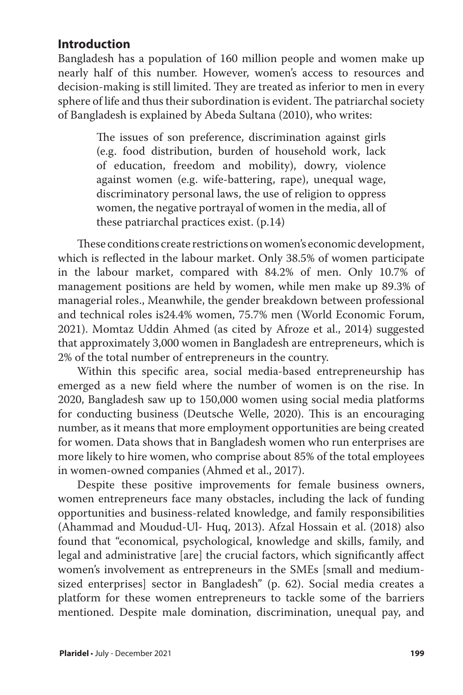## **Introduction**

Bangladesh has a population of 160 million people and women make up nearly half of this number. However, women's access to resources and decision-making is still limited. They are treated as inferior to men in every sphere of life and thus their subordination is evident. The patriarchal society of Bangladesh is explained by Abeda Sultana (2010), who writes:

> The issues of son preference, discrimination against girls (e.g. food distribution, burden of household work, lack of education, freedom and mobility), dowry, violence against women (e.g. wife-battering, rape), unequal wage, discriminatory personal laws, the use of religion to oppress women, the negative portrayal of women in the media, all of these patriarchal practices exist. (p.14)

These conditions create restrictions on women's economic development, which is reflected in the labour market. Only 38.5% of women participate in the labour market, compared with 84.2% of men. Only 10.7% of management positions are held by women, while men make up 89.3% of managerial roles., Meanwhile, the gender breakdown between professional and technical roles is24.4% women, 75.7% men (World Economic Forum, 2021). Momtaz Uddin Ahmed (as cited by Afroze et al., 2014) suggested that approximately 3,000 women in Bangladesh are entrepreneurs, which is 2% of the total number of entrepreneurs in the country.

Within this specific area, social media-based entrepreneurship has emerged as a new field where the number of women is on the rise. In 2020, Bangladesh saw up to 150,000 women using social media platforms for conducting business (Deutsche Welle, 2020). This is an encouraging number, as it means that more employment opportunities are being created for women. Data shows that in Bangladesh women who run enterprises are more likely to hire women, who comprise about 85% of the total employees in women-owned companies (Ahmed et al., 2017).

Despite these positive improvements for female business owners, women entrepreneurs face many obstacles, including the lack of funding opportunities and business-related knowledge, and family responsibilities (Ahammad and Moudud-Ul- Huq, 2013). Afzal Hossain et al. (2018) also found that "economical, psychological, knowledge and skills, family, and legal and administrative [are] the crucial factors, which significantly affect women's involvement as entrepreneurs in the SMEs [small and mediumsized enterprises] sector in Bangladesh" (p. 62). Social media creates a platform for these women entrepreneurs to tackle some of the barriers mentioned. Despite male domination, discrimination, unequal pay, and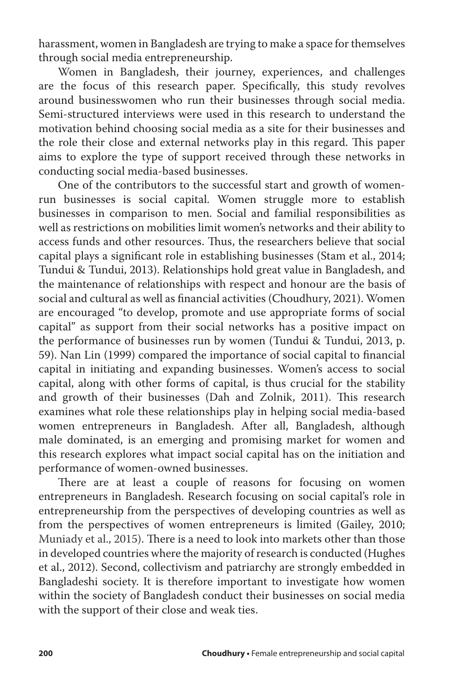harassment, women in Bangladesh are trying to make a space for themselves through social media entrepreneurship.

Women in Bangladesh, their journey, experiences, and challenges are the focus of this research paper. Specifically, this study revolves around businesswomen who run their businesses through social media. Semi-structured interviews were used in this research to understand the motivation behind choosing social media as a site for their businesses and the role their close and external networks play in this regard. This paper aims to explore the type of support received through these networks in conducting social media-based businesses.

One of the contributors to the successful start and growth of womenrun businesses is social capital. Women struggle more to establish businesses in comparison to men. Social and familial responsibilities as well as restrictions on mobilities limit women's networks and their ability to access funds and other resources. Thus, the researchers believe that social capital plays a significant role in establishing businesses (Stam et al., 2014; Tundui & Tundui, 2013). Relationships hold great value in Bangladesh, and the maintenance of relationships with respect and honour are the basis of social and cultural as well as financial activities (Choudhury, 2021). Women are encouraged "to develop, promote and use appropriate forms of social capital" as support from their social networks has a positive impact on the performance of businesses run by women (Tundui & Tundui, 2013, p. 59). Nan Lin (1999) compared the importance of social capital to financial capital in initiating and expanding businesses. Women's access to social capital, along with other forms of capital, is thus crucial for the stability and growth of their businesses (Dah and Zolnik, 2011). This research examines what role these relationships play in helping social media-based women entrepreneurs in Bangladesh. After all, Bangladesh, although male dominated, is an emerging and promising market for women and this research explores what impact social capital has on the initiation and performance of women-owned businesses.

There are at least a couple of reasons for focusing on women entrepreneurs in Bangladesh. Research focusing on social capital's role in entrepreneurship from the perspectives of developing countries as well as from the perspectives of women entrepreneurs is limited (Gailey, 2010; Muniady et al., 2015). There is a need to look into markets other than those in developed countries where the majority of research is conducted (Hughes et al., 2012). Second, collectivism and patriarchy are strongly embedded in Bangladeshi society. It is therefore important to investigate how women within the society of Bangladesh conduct their businesses on social media with the support of their close and weak ties.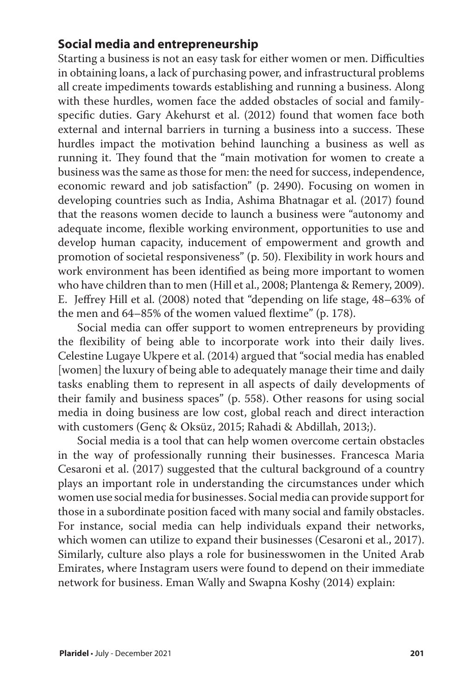## **Social media and entrepreneurship**

Starting a business is not an easy task for either women or men. Difficulties in obtaining loans, a lack of purchasing power, and infrastructural problems all create impediments towards establishing and running a business. Along with these hurdles, women face the added obstacles of social and familyspecific duties. Gary Akehurst et al. (2012) found that women face both external and internal barriers in turning a business into a success. These hurdles impact the motivation behind launching a business as well as running it. They found that the "main motivation for women to create a business was the same as those for men: the need for success, independence, economic reward and job satisfaction" (p. 2490). Focusing on women in developing countries such as India, Ashima Bhatnagar et al. (2017) found that the reasons women decide to launch a business were "autonomy and adequate income, flexible working environment, opportunities to use and develop human capacity, inducement of empowerment and growth and promotion of societal responsiveness" (p. 50). Flexibility in work hours and work environment has been identified as being more important to women who have children than to men (Hill et al., 2008; Plantenga & Remery, 2009). E. Jeffrey Hill et al. (2008) noted that "depending on life stage, 48–63% of the men and 64–85% of the women valued flextime" (p. 178).

Social media can offer support to women entrepreneurs by providing the flexibility of being able to incorporate work into their daily lives. Celestine Lugaye Ukpere et al. (2014) argued that "social media has enabled [women] the luxury of being able to adequately manage their time and daily tasks enabling them to represent in all aspects of daily developments of their family and business spaces" (p. 558). Other reasons for using social media in doing business are low cost, global reach and direct interaction with customers (Genç & Oksüz, 2015; Rahadi & Abdillah, 2013;).

Social media is a tool that can help women overcome certain obstacles in the way of professionally running their businesses. Francesca Maria Cesaroni et al. (2017) suggested that the cultural background of a country plays an important role in understanding the circumstances under which women use social media for businesses. Social media can provide support for those in a subordinate position faced with many social and family obstacles. For instance, social media can help individuals expand their networks, which women can utilize to expand their businesses (Cesaroni et al., 2017). Similarly, culture also plays a role for businesswomen in the United Arab Emirates, where Instagram users were found to depend on their immediate network for business. Eman Wally and Swapna Koshy (2014) explain: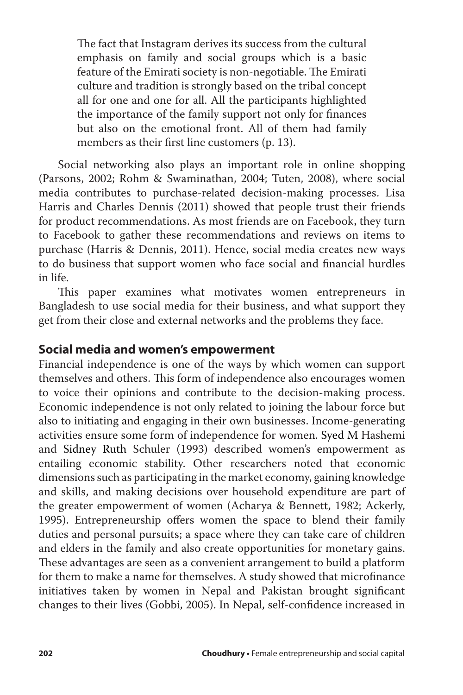The fact that Instagram derives its success from the cultural emphasis on family and social groups which is a basic feature of the Emirati society is non-negotiable. The Emirati culture and tradition is strongly based on the tribal concept all for one and one for all. All the participants highlighted the importance of the family support not only for finances but also on the emotional front. All of them had family members as their first line customers (p. 13).

Social networking also plays an important role in online shopping (Parsons, 2002; Rohm & Swaminathan, 2004; Tuten, 2008), where social media contributes to purchase-related decision-making processes. Lisa Harris and Charles Dennis (2011) showed that people trust their friends for product recommendations. As most friends are on Facebook, they turn to Facebook to gather these recommendations and reviews on items to purchase (Harris & Dennis, 2011). Hence, social media creates new ways to do business that support women who face social and financial hurdles in life.

This paper examines what motivates women entrepreneurs in Bangladesh to use social media for their business, and what support they get from their close and external networks and the problems they face.

## **Social media and women's empowerment**

Financial independence is one of the ways by which women can support themselves and others. This form of independence also encourages women to voice their opinions and contribute to the decision-making process. Economic independence is not only related to joining the labour force but also to initiating and engaging in their own businesses. Income-generating activities ensure some form of independence for women. Syed M Hashemi and Sidney Ruth Schuler (1993) described women's empowerment as entailing economic stability. Other researchers noted that economic dimensions such as participating in the market economy, gaining knowledge and skills, and making decisions over household expenditure are part of the greater empowerment of women (Acharya & Bennett, 1982; Ackerly, 1995). Entrepreneurship offers women the space to blend their family duties and personal pursuits; a space where they can take care of children and elders in the family and also create opportunities for monetary gains. These advantages are seen as a convenient arrangement to build a platform for them to make a name for themselves. A study showed that microfinance initiatives taken by women in Nepal and Pakistan brought significant changes to their lives (Gobbi, 2005). In Nepal, self-confidence increased in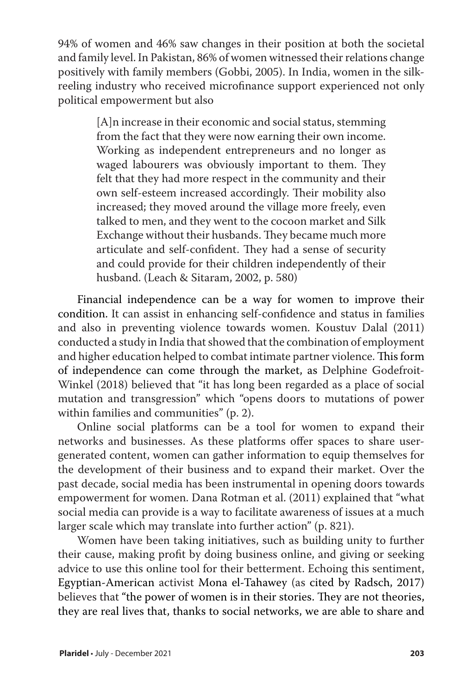94% of women and 46% saw changes in their position at both the societal and family level. In Pakistan, 86% of women witnessed their relations change positively with family members (Gobbi, 2005). In India, women in the silkreeling industry who received microfinance support experienced not only political empowerment but also

> [A]n increase in their economic and social status, stemming from the fact that they were now earning their own income. Working as independent entrepreneurs and no longer as waged labourers was obviously important to them. They felt that they had more respect in the community and their own self-esteem increased accordingly. Their mobility also increased; they moved around the village more freely, even talked to men, and they went to the cocoon market and Silk Exchange without their husbands. They became much more articulate and self-confident. They had a sense of security and could provide for their children independently of their husband. (Leach & Sitaram, 2002, p. 580)

Financial independence can be a way for women to improve their condition. It can assist in enhancing self-confidence and status in families and also in preventing violence towards women. Koustuv Dalal (2011) conducted a study in India that showed that the combination of employment and higher education helped to combat intimate partner violence. This form of independence can come through the market, as Delphine Godefroit-Winkel (2018) believed that "it has long been regarded as a place of social mutation and transgression" which "opens doors to mutations of power within families and communities" (p. 2).

Online social platforms can be a tool for women to expand their networks and businesses. As these platforms offer spaces to share usergenerated content, women can gather information to equip themselves for the development of their business and to expand their market. Over the past decade, social media has been instrumental in opening doors towards empowerment for women. Dana Rotman et al. (2011) explained that "what social media can provide is a way to facilitate awareness of issues at a much larger scale which may translate into further action" (p. 821).

Women have been taking initiatives, such as building unity to further their cause, making profit by doing business online, and giving or seeking advice to use this online tool for their betterment. Echoing this sentiment, Egyptian-American activist Mona el-Tahawey (as cited by Radsch, 2017) believes that "the power of women is in their stories. They are not theories, they are real lives that, thanks to social networks, we are able to share and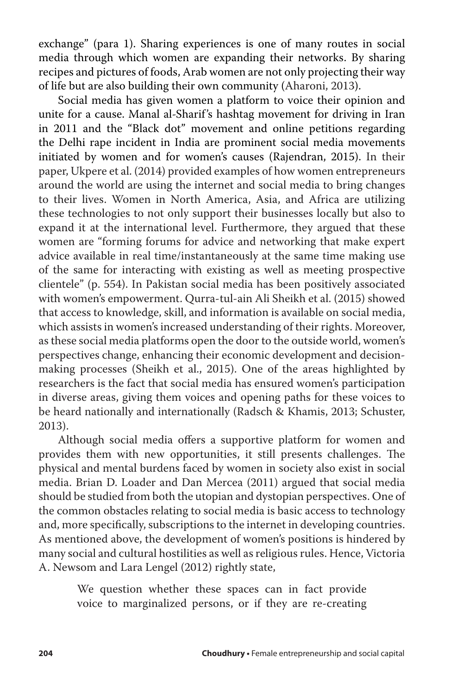exchange" (para 1). Sharing experiences is one of many routes in social media through which women are expanding their networks. By sharing recipes and pictures of foods, Arab women are not only projecting their way of life but are also building their own community (Aharoni, 2013).

Social media has given women a platform to voice their opinion and unite for a cause. Manal al-Sharif's hashtag movement for driving in Iran in 2011 and the "Black dot" movement and online petitions regarding the Delhi rape incident in India are prominent social media movements initiated by women and for women's causes (Rajendran, 2015). In their paper, Ukpere et al. (2014) provided examples of how women entrepreneurs around the world are using the internet and social media to bring changes to their lives. Women in North America, Asia, and Africa are utilizing these technologies to not only support their businesses locally but also to expand it at the international level. Furthermore, they argued that these women are "forming forums for advice and networking that make expert advice available in real time/instantaneously at the same time making use of the same for interacting with existing as well as meeting prospective clientele" (p. 554). In Pakistan social media has been positively associated with women's empowerment. Qurra-tul-ain Ali Sheikh et al. (2015) showed that access to knowledge, skill, and information is available on social media, which assists in women's increased understanding of their rights. Moreover, as these social media platforms open the door to the outside world, women's perspectives change, enhancing their economic development and decisionmaking processes (Sheikh et al., 2015). One of the areas highlighted by researchers is the fact that social media has ensured women's participation in diverse areas, giving them voices and opening paths for these voices to be heard nationally and internationally (Radsch & Khamis, 2013; Schuster, 2013).

Although social media offers a supportive platform for women and provides them with new opportunities, it still presents challenges. The physical and mental burdens faced by women in society also exist in social media. Brian D. Loader and Dan Mercea (2011) argued that social media should be studied from both the utopian and dystopian perspectives. One of the common obstacles relating to social media is basic access to technology and, more specifically, subscriptions to the internet in developing countries. As mentioned above, the development of women's positions is hindered by many social and cultural hostilities as well as religious rules. Hence, Victoria A. Newsom and Lara Lengel (2012) rightly state,

> We question whether these spaces can in fact provide voice to marginalized persons, or if they are re-creating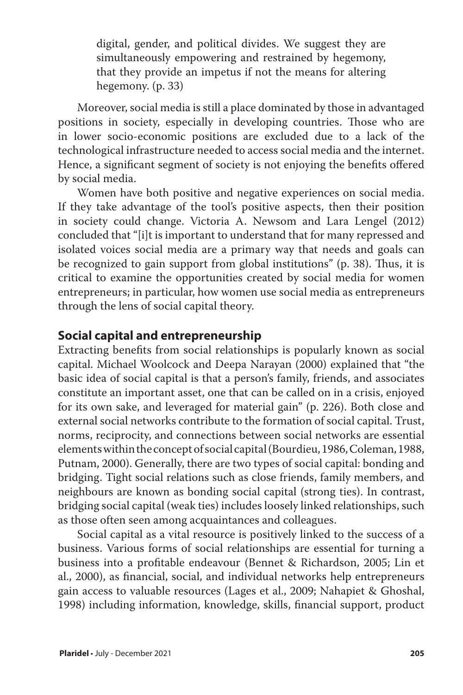digital, gender, and political divides. We suggest they are simultaneously empowering and restrained by hegemony, that they provide an impetus if not the means for altering hegemony. (p. 33)

Moreover, social media is still a place dominated by those in advantaged positions in society, especially in developing countries. Those who are in lower socio-economic positions are excluded due to a lack of the technological infrastructure needed to access social media and the internet. Hence, a significant segment of society is not enjoying the benefits offered by social media.

Women have both positive and negative experiences on social media. If they take advantage of the tool's positive aspects, then their position in society could change. Victoria A. Newsom and Lara Lengel (2012) concluded that "[i]t is important to understand that for many repressed and isolated voices social media are a primary way that needs and goals can be recognized to gain support from global institutions" (p. 38). Thus, it is critical to examine the opportunities created by social media for women entrepreneurs; in particular, how women use social media as entrepreneurs through the lens of social capital theory.

## **Social capital and entrepreneurship**

Extracting benefits from social relationships is popularly known as social capital. Michael Woolcock and Deepa Narayan (2000) explained that "the basic idea of social capital is that a person's family, friends, and associates constitute an important asset, one that can be called on in a crisis, enjoyed for its own sake, and leveraged for material gain" (p. 226). Both close and external social networks contribute to the formation of social capital. Trust, norms, reciprocity, and connections between social networks are essential elements within the concept of social capital (Bourdieu, 1986, Coleman, 1988, Putnam, 2000). Generally, there are two types of social capital: bonding and bridging. Tight social relations such as close friends, family members, and neighbours are known as bonding social capital (strong ties). In contrast, bridging social capital (weak ties) includes loosely linked relationships, such as those often seen among acquaintances and colleagues.

Social capital as a vital resource is positively linked to the success of a business. Various forms of social relationships are essential for turning a business into a profitable endeavour (Bennet & Richardson, 2005; Lin et al., 2000), as financial, social, and individual networks help entrepreneurs gain access to valuable resources (Lages et al., 2009; Nahapiet & Ghoshal, 1998) including information, knowledge, skills, financial support, product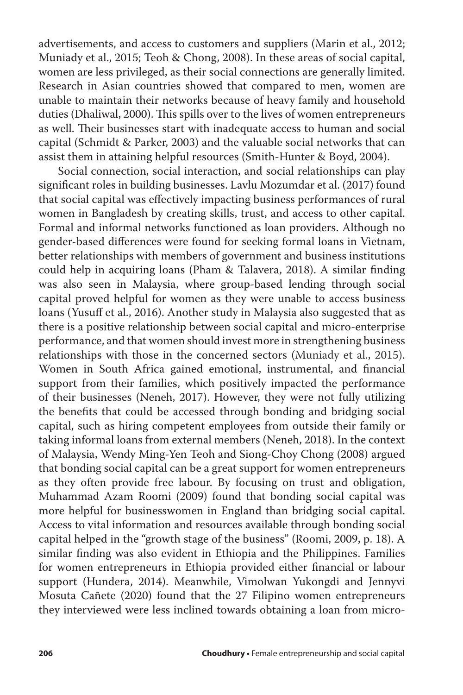advertisements, and access to customers and suppliers (Marin et al., 2012; Muniady et al., 2015; Teoh & Chong, 2008). In these areas of social capital, women are less privileged, as their social connections are generally limited. Research in Asian countries showed that compared to men, women are unable to maintain their networks because of heavy family and household duties (Dhaliwal, 2000). This spills over to the lives of women entrepreneurs as well. Their businesses start with inadequate access to human and social capital (Schmidt & Parker, 2003) and the valuable social networks that can assist them in attaining helpful resources (Smith-Hunter & Boyd, 2004).

Social connection, social interaction, and social relationships can play significant roles in building businesses. Lavlu Mozumdar et al. (2017) found that social capital was effectively impacting business performances of rural women in Bangladesh by creating skills, trust, and access to other capital. Formal and informal networks functioned as loan providers. Although no gender-based differences were found for seeking formal loans in Vietnam, better relationships with members of government and business institutions could help in acquiring loans (Pham & Talavera, 2018). A similar finding was also seen in Malaysia, where group-based lending through social capital proved helpful for women as they were unable to access business loans (Yusuff et al., 2016). Another study in Malaysia also suggested that as there is a positive relationship between social capital and micro-enterprise performance, and that women should invest more in strengthening business relationships with those in the concerned sectors (Muniady et al., 2015). Women in South Africa gained emotional, instrumental, and financial support from their families, which positively impacted the performance of their businesses (Neneh, 2017). However, they were not fully utilizing the benefits that could be accessed through bonding and bridging social capital, such as hiring competent employees from outside their family or taking informal loans from external members (Neneh, 2018). In the context of Malaysia, Wendy Ming-Yen Teoh and Siong-Choy Chong (2008) argued that bonding social capital can be a great support for women entrepreneurs as they often provide free labour. By focusing on trust and obligation, Muhammad Azam Roomi (2009) found that bonding social capital was more helpful for businesswomen in England than bridging social capital. Access to vital information and resources available through bonding social capital helped in the "growth stage of the business" (Roomi, 2009, p. 18). A similar finding was also evident in Ethiopia and the Philippines. Families for women entrepreneurs in Ethiopia provided either financial or labour support (Hundera, 2014). Meanwhile, Vimolwan Yukongdi and Jennyvi Mosuta Cañete (2020) found that the 27 Filipino women entrepreneurs they interviewed were less inclined towards obtaining a loan from micro-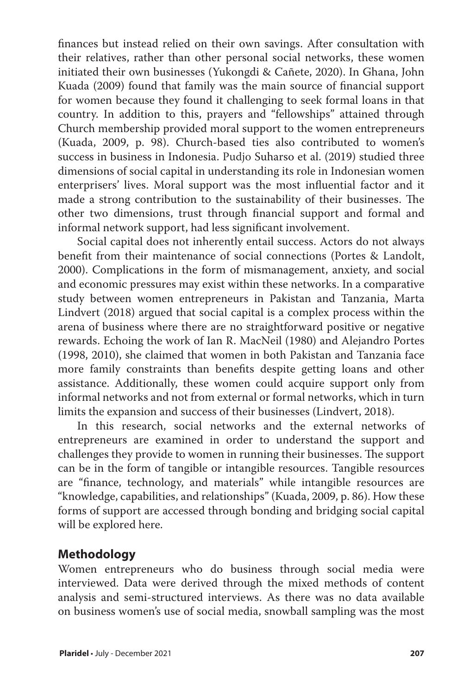finances but instead relied on their own savings. After consultation with their relatives, rather than other personal social networks, these women initiated their own businesses (Yukongdi & Cañete, 2020). In Ghana, John Kuada (2009) found that family was the main source of financial support for women because they found it challenging to seek formal loans in that country. In addition to this, prayers and "fellowships" attained through Church membership provided moral support to the women entrepreneurs (Kuada, 2009, p. 98). Church-based ties also contributed to women's success in business in Indonesia. Pudjo Suharso et al. (2019) studied three dimensions of social capital in understanding its role in Indonesian women enterprisers' lives. Moral support was the most influential factor and it made a strong contribution to the sustainability of their businesses. The other two dimensions, trust through financial support and formal and informal network support, had less significant involvement.

Social capital does not inherently entail success. Actors do not always benefit from their maintenance of social connections (Portes & Landolt, 2000). Complications in the form of mismanagement, anxiety, and social and economic pressures may exist within these networks. In a comparative study between women entrepreneurs in Pakistan and Tanzania, Marta Lindvert (2018) argued that social capital is a complex process within the arena of business where there are no straightforward positive or negative rewards. Echoing the work of Ian R. MacNeil (1980) and Alejandro Portes (1998, 2010), she claimed that women in both Pakistan and Tanzania face more family constraints than benefits despite getting loans and other assistance. Additionally, these women could acquire support only from informal networks and not from external or formal networks, which in turn limits the expansion and success of their businesses (Lindvert, 2018).

In this research, social networks and the external networks of entrepreneurs are examined in order to understand the support and challenges they provide to women in running their businesses. The support can be in the form of tangible or intangible resources. Tangible resources are "finance, technology, and materials" while intangible resources are "knowledge, capabilities, and relationships" (Kuada, 2009, p. 86). How these forms of support are accessed through bonding and bridging social capital will be explored here.

## **Methodology**

Women entrepreneurs who do business through social media were interviewed. Data were derived through the mixed methods of content analysis and semi-structured interviews. As there was no data available on business women's use of social media, snowball sampling was the most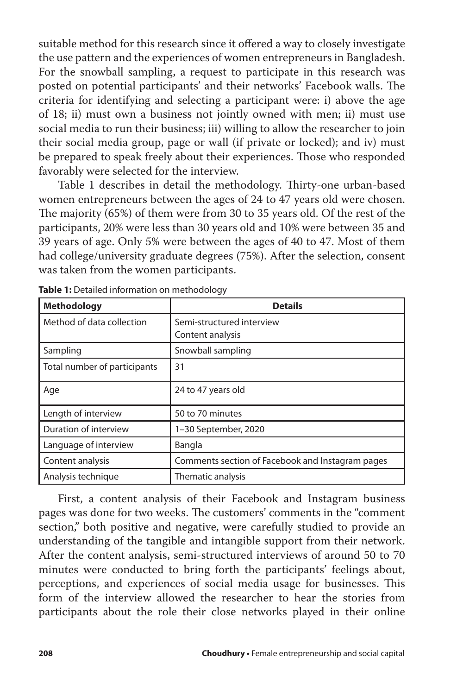suitable method for this research since it offered a way to closely investigate the use pattern and the experiences of women entrepreneurs in Bangladesh. For the snowball sampling, a request to participate in this research was posted on potential participants' and their networks' Facebook walls. The criteria for identifying and selecting a participant were: i) above the age of 18; ii) must own a business not jointly owned with men; ii) must use social media to run their business; iii) willing to allow the researcher to join their social media group, page or wall (if private or locked); and iv) must be prepared to speak freely about their experiences. Those who responded favorably were selected for the interview.

Table 1 describes in detail the methodology. Thirty-one urban-based women entrepreneurs between the ages of 24 to 47 years old were chosen. The majority (65%) of them were from 30 to 35 years old. Of the rest of the participants, 20% were less than 30 years old and 10% were between 35 and 39 years of age. Only 5% were between the ages of 40 to 47. Most of them had college/university graduate degrees (75%). After the selection, consent was taken from the women participants.

| <b>Methodology</b>           | <b>Details</b>                                   |
|------------------------------|--------------------------------------------------|
| Method of data collection    | Semi-structured interview                        |
|                              | Content analysis                                 |
| Sampling                     | Snowball sampling                                |
| Total number of participants | 31                                               |
| Age                          | 24 to 47 years old                               |
| Length of interview          | 50 to 70 minutes                                 |
| Duration of interview        | 1-30 September, 2020                             |
| Language of interview        | Bangla                                           |
| Content analysis             | Comments section of Facebook and Instagram pages |
| Analysis technique           | Thematic analysis                                |

**Table 1:** Detailed information on methodology

First, a content analysis of their Facebook and Instagram business pages was done for two weeks. The customers' comments in the "comment section," both positive and negative, were carefully studied to provide an understanding of the tangible and intangible support from their network. After the content analysis, semi-structured interviews of around 50 to 70 minutes were conducted to bring forth the participants' feelings about, perceptions, and experiences of social media usage for businesses. This form of the interview allowed the researcher to hear the stories from participants about the role their close networks played in their online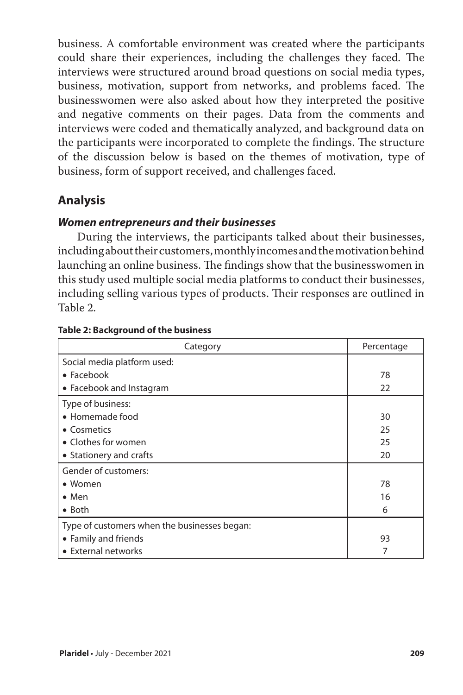business. A comfortable environment was created where the participants could share their experiences, including the challenges they faced. The interviews were structured around broad questions on social media types, business, motivation, support from networks, and problems faced. The businesswomen were also asked about how they interpreted the positive and negative comments on their pages. Data from the comments and interviews were coded and thematically analyzed, and background data on the participants were incorporated to complete the findings. The structure of the discussion below is based on the themes of motivation, type of business, form of support received, and challenges faced.

## **Analysis**

### *Women entrepreneurs and their businesses*

During the interviews, the participants talked about their businesses, including about their customers, monthly incomes and the motivation behind launching an online business. The findings show that the businesswomen in this study used multiple social media platforms to conduct their businesses, including selling various types of products. Their responses are outlined in Table 2.

| Category                                     | Percentage |
|----------------------------------------------|------------|
| Social media platform used:                  |            |
| $\bullet$ Facebook                           | 78         |
| • Facebook and Instagram                     | 22         |
| Type of business:                            |            |
| • Homemade food                              | 30         |
| • Cosmetics                                  | 25         |
| • Clothes for women                          | 25         |
| • Stationery and crafts                      | 20         |
| Gender of customers:                         |            |
| • Women                                      | 78         |
| $\bullet$ Men                                | 16         |
| $\bullet$ Both                               | 6          |
| Type of customers when the businesses began: |            |
| • Family and friends                         | 93         |
| • External networks                          | 7          |

#### **Table 2: Background of the business**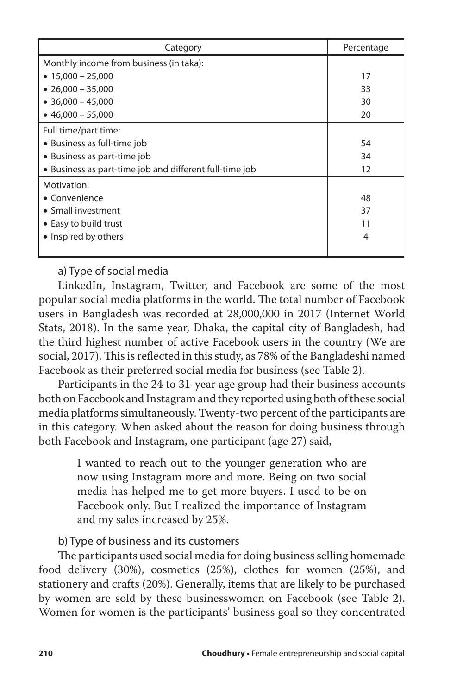| Category                                                | Percentage |
|---------------------------------------------------------|------------|
| Monthly income from business (in taka):                 |            |
| $\bullet$ 15,000 - 25,000                               | 17         |
| $\bullet$ 26,000 - 35,000                               | 33         |
| $\bullet$ 36,000 - 45,000                               | 30         |
| $\bullet$ 46.000 - 55.000                               | 20         |
| Full time/part time:                                    |            |
| • Business as full-time job                             | 54         |
| • Business as part-time job                             | 34         |
| • Business as part-time job and different full-time job | 12         |
| Motivation:                                             |            |
| • Convenience                                           | 48         |
| • Small investment                                      | 37         |
| • Easy to build trust                                   | 11         |
| • Inspired by others                                    | 4          |
|                                                         |            |

### a) Type of social media

LinkedIn, Instagram, Twitter, and Facebook are some of the most popular social media platforms in the world. The total number of Facebook users in Bangladesh was recorded at 28,000,000 in 2017 (Internet World Stats, 2018). In the same year, Dhaka, the capital city of Bangladesh, had the third highest number of active Facebook users in the country (We are social, 2017). This is reflected in this study, as 78% of the Bangladeshi named Facebook as their preferred social media for business (see Table 2).

Participants in the 24 to 31-year age group had their business accounts both on Facebook and Instagram and they reported using both of these social media platforms simultaneously. Twenty-two percent of the participants are in this category. When asked about the reason for doing business through both Facebook and Instagram, one participant (age 27) said,

> I wanted to reach out to the younger generation who are now using Instagram more and more. Being on two social media has helped me to get more buyers. I used to be on Facebook only. But I realized the importance of Instagram and my sales increased by 25%.

### b) Type of business and its customers

The participants used social media for doing business selling homemade food delivery (30%), cosmetics (25%), clothes for women (25%), and stationery and crafts (20%). Generally, items that are likely to be purchased by women are sold by these businesswomen on Facebook (see Table 2). Women for women is the participants' business goal so they concentrated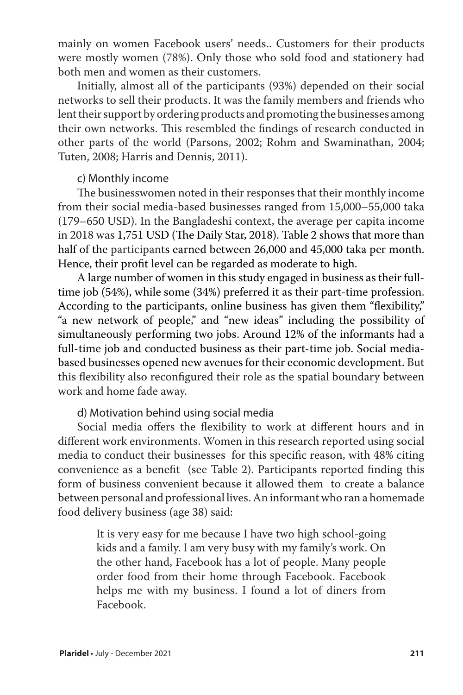mainly on women Facebook users' needs.. Customers for their products were mostly women (78%). Only those who sold food and stationery had both men and women as their customers.

Initially, almost all of the participants (93%) depended on their social networks to sell their products. It was the family members and friends who lent their support by ordering products and promoting the businesses among their own networks. This resembled the findings of research conducted in other parts of the world (Parsons, 2002; Rohm and Swaminathan, 2004; Tuten, 2008; Harris and Dennis, 2011).

#### c) Monthly income

The businesswomen noted in their responses that their monthly income from their social media-based businesses ranged from 15,000–55,000 taka (179–650 USD). In the Bangladeshi context, the average per capita income in 2018 was 1,751 USD (The Daily Star, 2018). Table 2 shows that more than half of the participants earned between 26,000 and 45,000 taka per month. Hence, their profit level can be regarded as moderate to high.

A large number of women in this study engaged in business as their fulltime job (54%), while some (34%) preferred it as their part-time profession. According to the participants, online business has given them "flexibility," "a new network of people," and "new ideas" including the possibility of simultaneously performing two jobs. Around 12% of the informants had a full-time job and conducted business as their part-time job. Social mediabased businesses opened new avenues for their economic development. But this flexibility also reconfigured their role as the spatial boundary between work and home fade away.

### d) Motivation behind using social media

Social media offers the flexibility to work at different hours and in different work environments. Women in this research reported using social media to conduct their businesses for this specific reason, with 48% citing convenience as a benefit (see Table 2). Participants reported finding this form of business convenient because it allowed them to create a balance between personal and professional lives. An informant who ran a homemade food delivery business (age 38) said:

> It is very easy for me because I have two high school-going kids and a family. I am very busy with my family's work. On the other hand, Facebook has a lot of people. Many people order food from their home through Facebook. Facebook helps me with my business. I found a lot of diners from Facebook.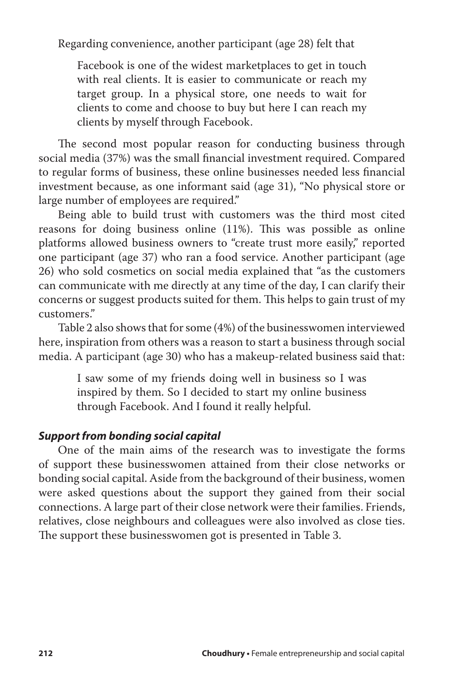Regarding convenience, another participant (age 28) felt that

Facebook is one of the widest marketplaces to get in touch with real clients. It is easier to communicate or reach my target group. In a physical store, one needs to wait for clients to come and choose to buy but here I can reach my clients by myself through Facebook.

The second most popular reason for conducting business through social media (37%) was the small financial investment required. Compared to regular forms of business, these online businesses needed less financial investment because, as one informant said (age 31), "No physical store or large number of employees are required."

Being able to build trust with customers was the third most cited reasons for doing business online (11%). This was possible as online platforms allowed business owners to "create trust more easily," reported one participant (age 37) who ran a food service. Another participant (age 26) who sold cosmetics on social media explained that "as the customers can communicate with me directly at any time of the day, I can clarify their concerns or suggest products suited for them. This helps to gain trust of my customers."

Table 2 also shows that for some (4%) of the businesswomen interviewed here, inspiration from others was a reason to start a business through social media. A participant (age 30) who has a makeup-related business said that:

> I saw some of my friends doing well in business so I was inspired by them. So I decided to start my online business through Facebook. And I found it really helpful.

## *Support from bonding social capital*

One of the main aims of the research was to investigate the forms of support these businesswomen attained from their close networks or bonding social capital. Aside from the background of their business, women were asked questions about the support they gained from their social connections. A large part of their close network were their families. Friends, relatives, close neighbours and colleagues were also involved as close ties. The support these businesswomen got is presented in Table 3.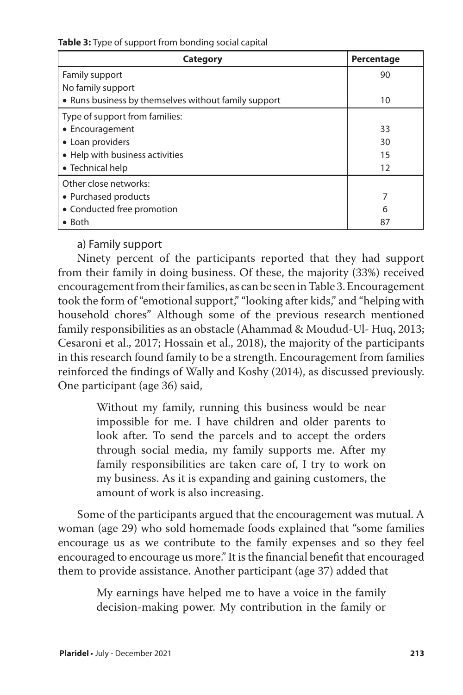**Table 3:** Type of support from bonding social capital

| Category                                             | Percentage |
|------------------------------------------------------|------------|
| Family support                                       | 90         |
| No family support                                    |            |
| • Runs business by themselves without family support | 10         |
| Type of support from families:                       |            |
| • Encouragement                                      | 33         |
| • Loan providers                                     | 30         |
| • Help with business activities                      | 15         |
| • Technical help                                     | 12         |
| Other close networks:                                |            |
| • Purchased products                                 |            |
| • Conducted free promotion                           | 6          |
| $\bullet$ Both                                       | 87         |

a) Family support

Ninety percent of the participants reported that they had support from their family in doing business. Of these, the majority (33%) received encouragement from their families, as can be seen in Table 3. Encouragement took the form of "emotional support," "looking after kids," and "helping with household chores" Although some of the previous research mentioned family responsibilities as an obstacle (Ahammad & Moudud-Ul- Huq, 2013; Cesaroni et al., 2017; Hossain et al., 2018), the majority of the participants in this research found family to be a strength. Encouragement from families reinforced the findings of Wally and Koshy (2014), as discussed previously. One participant (age 36) said,

> Without my family, running this business would be near impossible for me. I have children and older parents to look after. To send the parcels and to accept the orders through social media, my family supports me. After my family responsibilities are taken care of, I try to work on my business. As it is expanding and gaining customers, the amount of work is also increasing.

Some of the participants argued that the encouragement was mutual. A woman (age 29) who sold homemade foods explained that "some families encourage us as we contribute to the family expenses and so they feel encouraged to encourage us more." It is the financial benefit that encouraged them to provide assistance. Another participant (age 37) added that

> My earnings have helped me to have a voice in the family decision-making power. My contribution in the family or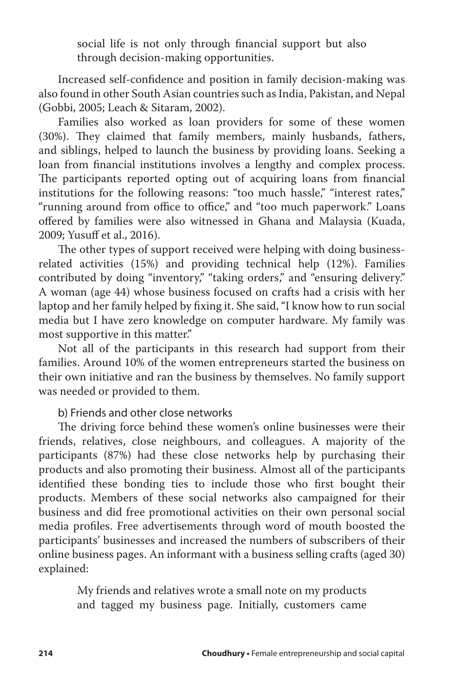social life is not only through financial support but also through decision-making opportunities.

Increased self-confidence and position in family decision-making was also found in other South Asian countries such as India, Pakistan, and Nepal (Gobbi, 2005; Leach & Sitaram, 2002).

Families also worked as loan providers for some of these women (30%). They claimed that family members, mainly husbands, fathers, and siblings, helped to launch the business by providing loans. Seeking a loan from financial institutions involves a lengthy and complex process. The participants reported opting out of acquiring loans from financial institutions for the following reasons: "too much hassle," "interest rates," "running around from office to office," and "too much paperwork." Loans offered by families were also witnessed in Ghana and Malaysia (Kuada, 2009; Yusuff et al., 2016).

The other types of support received were helping with doing businessrelated activities (15%) and providing technical help (12%). Families contributed by doing "inventory," "taking orders," and "ensuring delivery." A woman (age 44) whose business focused on crafts had a crisis with her laptop and her family helped by fixing it. She said, "I know how to run social media but I have zero knowledge on computer hardware. My family was most supportive in this matter."

Not all of the participants in this research had support from their families. Around 10% of the women entrepreneurs started the business on their own initiative and ran the business by themselves. No family support was needed or provided to them.

### b) Friends and other close networks

The driving force behind these women's online businesses were their friends, relatives, close neighbours, and colleagues. A majority of the participants (87%) had these close networks help by purchasing their products and also promoting their business. Almost all of the participants identified these bonding ties to include those who first bought their products. Members of these social networks also campaigned for their business and did free promotional activities on their own personal social media profiles. Free advertisements through word of mouth boosted the participants' businesses and increased the numbers of subscribers of their online business pages. An informant with a business selling crafts (aged 30) explained:

> My friends and relatives wrote a small note on my products and tagged my business page. Initially, customers came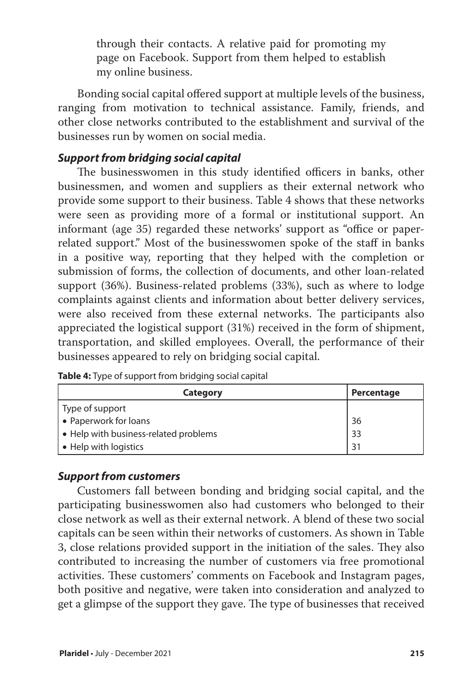through their contacts. A relative paid for promoting my page on Facebook. Support from them helped to establish my online business.

Bonding social capital offered support at multiple levels of the business, ranging from motivation to technical assistance. Family, friends, and other close networks contributed to the establishment and survival of the businesses run by women on social media.

## *Support from bridging social capital*

The businesswomen in this study identified officers in banks, other businessmen, and women and suppliers as their external network who provide some support to their business. Table 4 shows that these networks were seen as providing more of a formal or institutional support. An informant (age 35) regarded these networks' support as "office or paperrelated support." Most of the businesswomen spoke of the staff in banks in a positive way, reporting that they helped with the completion or submission of forms, the collection of documents, and other loan-related support (36%). Business-related problems (33%), such as where to lodge complaints against clients and information about better delivery services, were also received from these external networks. The participants also appreciated the logistical support (31%) received in the form of shipment, transportation, and skilled employees. Overall, the performance of their businesses appeared to rely on bridging social capital.

|  |  | Table 4: Type of support from bridging social capital |  |  |  |  |
|--|--|-------------------------------------------------------|--|--|--|--|
|--|--|-------------------------------------------------------|--|--|--|--|

| <b>Category</b>                       | Percentage |
|---------------------------------------|------------|
| Type of support                       |            |
| • Paperwork for loans                 | 36         |
| • Help with business-related problems | 33         |
| • Help with logistics                 | . 31       |

### *Support from customers*

Customers fall between bonding and bridging social capital, and the participating businesswomen also had customers who belonged to their close network as well as their external network. A blend of these two social capitals can be seen within their networks of customers. As shown in Table 3, close relations provided support in the initiation of the sales. They also contributed to increasing the number of customers via free promotional activities. These customers' comments on Facebook and Instagram pages, both positive and negative, were taken into consideration and analyzed to get a glimpse of the support they gave. The type of businesses that received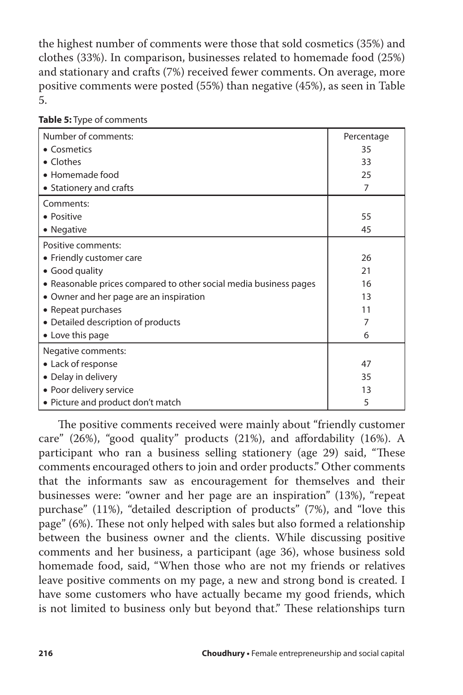the highest number of comments were those that sold cosmetics (35%) and clothes (33%). In comparison, businesses related to homemade food (25%) and stationary and crafts (7%) received fewer comments. On average, more positive comments were posted (55%) than negative (45%), as seen in Table 5.

| Number of comments:                                               | Percentage |
|-------------------------------------------------------------------|------------|
| • Cosmetics                                                       | 35         |
| • Clothes                                                         | 33         |
| • Homemade food                                                   | 25         |
| • Stationery and crafts                                           | 7          |
| Comments:                                                         |            |
| · Positive                                                        | 55         |
| • Negative                                                        | 45         |
| Positive comments:                                                |            |
| • Friendly customer care                                          | 26         |
| • Good quality                                                    | 21         |
| • Reasonable prices compared to other social media business pages | 16         |
| • Owner and her page are an inspiration                           | 13         |
| • Repeat purchases                                                | 11         |
| • Detailed description of products                                | 7          |
| • Love this page                                                  | 6          |
| Negative comments:                                                |            |
| • Lack of response                                                | 47         |
| • Delay in delivery                                               | 35         |
| • Poor delivery service                                           | 13         |
| • Picture and product don't match                                 | 5          |

**Table 5:** Type of comments

The positive comments received were mainly about "friendly customer care" (26%), "good quality" products (21%), and affordability (16%). A participant who ran a business selling stationery (age 29) said, "These comments encouraged others to join and order products." Other comments that the informants saw as encouragement for themselves and their businesses were: "owner and her page are an inspiration" (13%), "repeat purchase" (11%), "detailed description of products" (7%), and "love this page" (6%). These not only helped with sales but also formed a relationship between the business owner and the clients. While discussing positive comments and her business, a participant (age 36), whose business sold homemade food, said, "When those who are not my friends or relatives leave positive comments on my page, a new and strong bond is created. I have some customers who have actually became my good friends, which is not limited to business only but beyond that." These relationships turn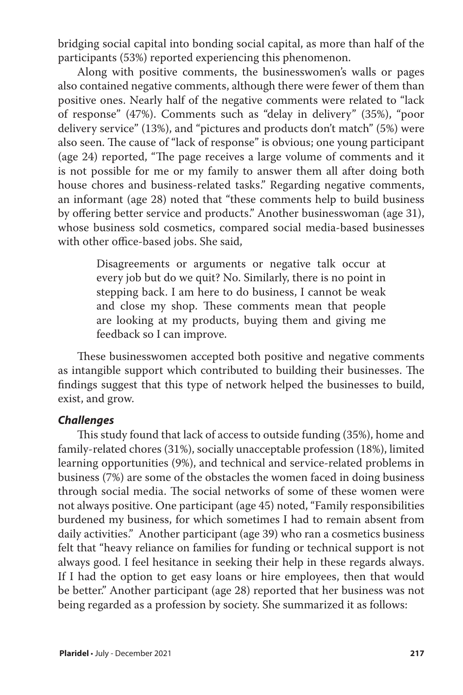bridging social capital into bonding social capital, as more than half of the participants (53%) reported experiencing this phenomenon.

Along with positive comments, the businesswomen's walls or pages also contained negative comments, although there were fewer of them than positive ones. Nearly half of the negative comments were related to "lack of response" (47%). Comments such as "delay in delivery" (35%), "poor delivery service" (13%), and "pictures and products don't match" (5%) were also seen. The cause of "lack of response" is obvious; one young participant (age 24) reported, "The page receives a large volume of comments and it is not possible for me or my family to answer them all after doing both house chores and business-related tasks." Regarding negative comments, an informant (age 28) noted that "these comments help to build business by offering better service and products." Another businesswoman (age 31), whose business sold cosmetics, compared social media-based businesses with other office-based jobs. She said,

> Disagreements or arguments or negative talk occur at every job but do we quit? No. Similarly, there is no point in stepping back. I am here to do business, I cannot be weak and close my shop. These comments mean that people are looking at my products, buying them and giving me feedback so I can improve.

These businesswomen accepted both positive and negative comments as intangible support which contributed to building their businesses. The findings suggest that this type of network helped the businesses to build, exist, and grow.

#### *Challenges*

This study found that lack of access to outside funding (35%), home and family-related chores (31%), socially unacceptable profession (18%), limited learning opportunities (9%), and technical and service-related problems in business (7%) are some of the obstacles the women faced in doing business through social media. The social networks of some of these women were not always positive. One participant (age 45) noted, "Family responsibilities burdened my business, for which sometimes I had to remain absent from daily activities." Another participant (age 39) who ran a cosmetics business felt that "heavy reliance on families for funding or technical support is not always good. I feel hesitance in seeking their help in these regards always. If I had the option to get easy loans or hire employees, then that would be better." Another participant (age 28) reported that her business was not being regarded as a profession by society. She summarized it as follows: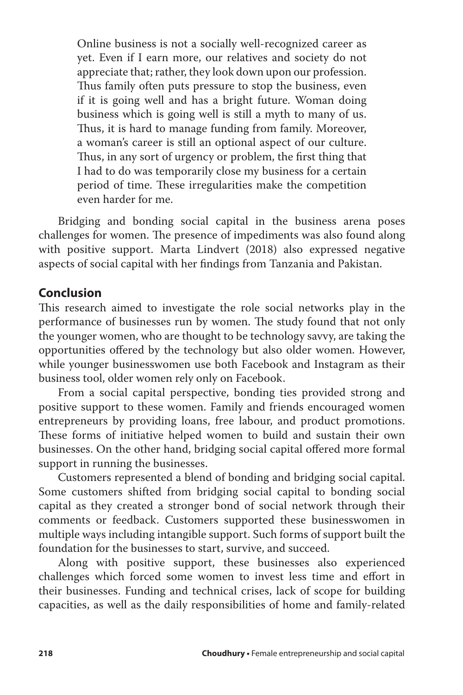Online business is not a socially well-recognized career as yet. Even if I earn more, our relatives and society do not appreciate that; rather, they look down upon our profession. Thus family often puts pressure to stop the business, even if it is going well and has a bright future. Woman doing business which is going well is still a myth to many of us. Thus, it is hard to manage funding from family. Moreover, a woman's career is still an optional aspect of our culture. Thus, in any sort of urgency or problem, the first thing that I had to do was temporarily close my business for a certain period of time. These irregularities make the competition even harder for me.

Bridging and bonding social capital in the business arena poses challenges for women. The presence of impediments was also found along with positive support. Marta Lindvert (2018) also expressed negative aspects of social capital with her findings from Tanzania and Pakistan.

### **Conclusion**

This research aimed to investigate the role social networks play in the performance of businesses run by women. The study found that not only the younger women, who are thought to be technology savvy, are taking the opportunities offered by the technology but also older women. However, while younger businesswomen use both Facebook and Instagram as their business tool, older women rely only on Facebook.

From a social capital perspective, bonding ties provided strong and positive support to these women. Family and friends encouraged women entrepreneurs by providing loans, free labour, and product promotions. These forms of initiative helped women to build and sustain their own businesses. On the other hand, bridging social capital offered more formal support in running the businesses.

Customers represented a blend of bonding and bridging social capital. Some customers shifted from bridging social capital to bonding social capital as they created a stronger bond of social network through their comments or feedback. Customers supported these businesswomen in multiple ways including intangible support. Such forms of support built the foundation for the businesses to start, survive, and succeed.

Along with positive support, these businesses also experienced challenges which forced some women to invest less time and effort in their businesses. Funding and technical crises, lack of scope for building capacities, as well as the daily responsibilities of home and family-related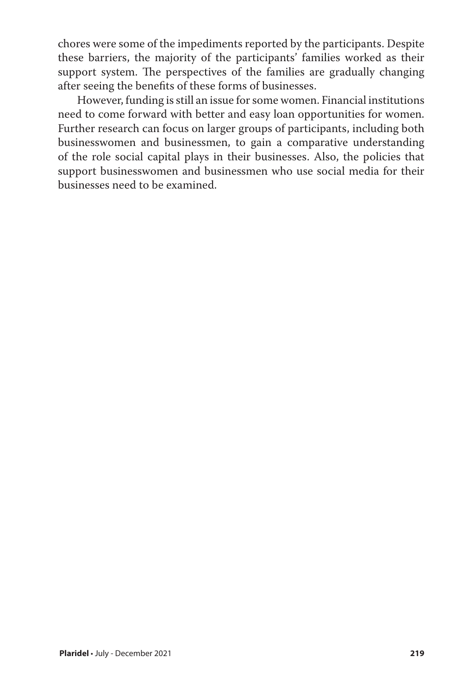chores were some of the impediments reported by the participants. Despite these barriers, the majority of the participants' families worked as their support system. The perspectives of the families are gradually changing after seeing the benefits of these forms of businesses.

However, funding is still an issue for some women. Financial institutions need to come forward with better and easy loan opportunities for women. Further research can focus on larger groups of participants, including both businesswomen and businessmen, to gain a comparative understanding of the role social capital plays in their businesses. Also, the policies that support businesswomen and businessmen who use social media for their businesses need to be examined.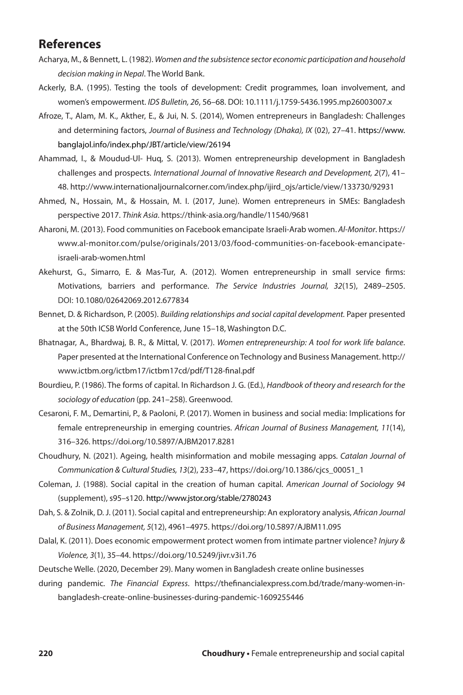## **References**

- Acharya, M., & Bennett, L. (1982). *Women and the subsistence sector economic participation and household decision making in Nepal*. The World Bank.
- Ackerly, B.A. (1995). Testing the tools of development: Credit programmes, loan involvement, and women's empowerment. *IDS Bulletin, 26*, 56–68. DOI: 10.1111/j.1759-5436.1995.mp26003007.x
- Afroze, T., Alam, M. K., Akther, E., & Jui, N. S. (2014), Women entrepreneurs in Bangladesh: Challenges and determining factors, *Journal of Business and Technology (Dhaka), IX* (02), 27–41. https://www. banglajol.info/index.php/JBT/article/view/26194
- Ahammad, I., & Moudud-Ul- Huq, S. (2013). Women entrepreneurship development in Bangladesh challenges and prospects. *International Journal of Innovative Research and Development, 2*(7), 41– 48. http://www.internationaljournalcorner.com/index.php/ijird\_ojs/article/view/133730/92931
- Ahmed, N., Hossain, M., & Hossain, M. I. (2017, June). Women entrepreneurs in SMEs: Bangladesh perspective 2017. *Think Asia*. https://think-asia.org/handle/11540/9681
- Aharoni, M. (2013). Food communities on Facebook emancipate Israeli-Arab women. *Al-Monitor*. https:// www.al-monitor.com/pulse/originals/2013/03/food-communities-on-facebook-emancipateisraeli-arab-women.html
- Akehurst, G., Simarro, E. & Mas-Tur, A. (2012). Women entrepreneurship in small service firms: Motivations, barriers and performance. *The Service Industries Journal, 32*(15), 2489–2505. DOI: 10.1080/02642069.2012.677834
- Bennet, D. & Richardson, P. (2005). *Building relationships and social capital development.* Paper presented at the 50th ICSB World Conference, June 15–18, Washington D.C.
- Bhatnagar, A., Bhardwaj, B. R., & Mittal, V. (2017). *Women entrepreneurship: A tool for work life balance*. Paper presented at the International Conference on Technology and Business Management. http:// www.ictbm.org/ictbm17/ictbm17cd/pdf/T128-final.pdf
- Bourdieu, P. (1986). The forms of capital. In Richardson J. G. (Ed.), *Handbook of theory and research for the sociology of education* (pp. 241–258). Greenwood.
- Cesaroni, F. M., Demartini, P., & Paoloni, P. (2017). Women in business and social media: Implications for female entrepreneurship in emerging countries. *African Journal of Business Management, 11*(14), 316–326. https://doi.org/10.5897/AJBM2017.8281
- Choudhury, N. (2021). Ageing, health misinformation and mobile messaging apps. *Catalan Journal of Communication & Cultural Studies, 13*(2), 233–47, https://doi.org/10.1386/cjcs\_00051\_1
- Coleman, J. (1988). Social capital in the creation of human capital. *American Journal of Sociology 94* (supplement), s95–s120. http://www.jstor.org/stable/2780243
- Dah, S. & Zolnik, D. J. (2011). Social capital and entrepreneurship: An exploratory analysis, *African Journal of Business Management, 5*(12), 4961–4975. https://doi.org/10.5897/AJBM11.095
- Dalal, K. (2011). Does economic empowerment protect women from intimate partner violence? *Injury & Violence, 3*(1), 35–44. https://doi.org/10.5249/jivr.v3i1.76
- Deutsche Welle. (2020, December 29). Many women in Bangladesh create online businesses
- during pandemic. *The Financial Express*. https://thefinancialexpress.com.bd/trade/many-women-inbangladesh-create-online-businesses-during-pandemic-1609255446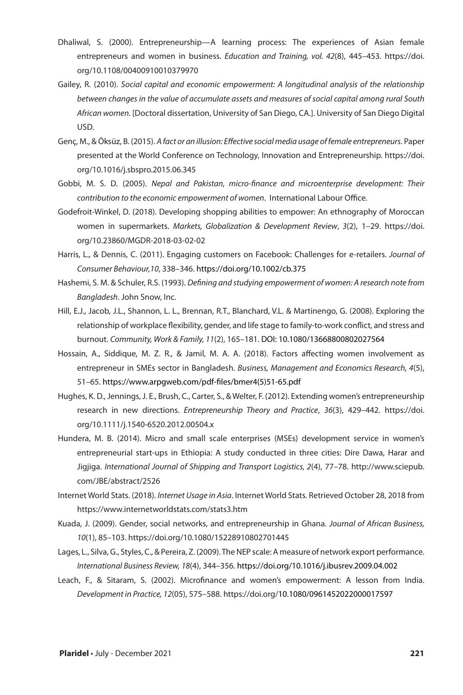- Dhaliwal, S. (2000). Entrepreneurship—A learning process: The experiences of Asian female entrepreneurs and women in business. *Education and Training, vol. 42*(8), 445–453. https://doi. org/10.1108/00400910010379970
- Gailey, R. (2010). *Social capital and economic empowerment: A longitudinal analysis of the relationship between changes in the value of accumulate assets and measures of social capital among rural South African women.* [Doctoral dissertation, University of San Diego, CA.]. University of San Diego Digital USD.
- Genç, M., & Öksüz, B. (2015). *A fact or an illusion: Effective social media usage of female entrepreneurs*. Paper presented at the World Conference on Technology, Innovation and Entrepreneurship. https://doi. org/10.1016/j.sbspro.2015.06.345
- Gobbi, M. S. D. (2005). *Nepal and Pakistan, micro-finance and microenterprise development: Their contribution to the economic empowerment of women*. International Labour Office.
- Godefroit-Winkel, D. (2018). Developing shopping abilities to empower: An ethnography of Moroccan women in supermarkets. *Markets, Globalization & Development Review*, *3*(2), 1–29. https://doi. org/10.23860/MGDR-2018-03-02-02
- Harris, L., & Dennis, C. (2011). Engaging customers on Facebook: Challenges for e-retailers. *Journal of Consumer Behaviour,10*, 338–346. https://doi.org/10.1002/cb.375
- Hashemi, S. M. & Schuler, R.S. (1993). *Defining and studying empowerment of women: A research note from Bangladesh*. John Snow, Inc.
- Hill, E.J., Jacob, J.L., Shannon, L. L., Brennan, R.T., Blanchard, V.L. & Martinengo, G. (2008). Exploring the relationship of workplace flexibility, gender, and life stage to family-to-work conflict, and stress and burnout. *Community, Work & Family, 11*(2), 165–181. DOI: 10.1080/13668800802027564
- Hossain, A., Siddique, M. Z. R., & Jamil, M. A. A. (2018). Factors affecting women involvement as entrepreneur in SMEs sector in Bangladesh. *Business, Management and Economics Research, 4*(5), 51–65. https://www.arpgweb.com/pdf-files/bmer4(5)51-65.pdf
- Hughes, K. D., Jennings, J. E., Brush, C., Carter, S., & Welter, F. (2012). Extending women's entrepreneurship research in new directions. *Entrepreneurship Theory and Practice*, *36*(3), 429–442. https://doi. org/10.1111/j.1540-6520.2012.00504.x
- Hundera, M. B. (2014). Micro and small scale enterprises (MSEs) development service in women's entrepreneurial start-ups in Ethiopia: A study conducted in three cities: Dire Dawa, Harar and Jigjiga. *International Journal of Shipping and Transport Logistics, 2*(4), 77–78. http://www.sciepub. com/JBE/abstract/2526
- Internet World Stats. (2018). *Internet Usage in Asia*. Internet World Stats. Retrieved October 28, 2018 from https://www.internetworldstats.com/stats3.htm
- Kuada, J. (2009). Gender, social networks, and entrepreneurship in Ghana. *Journal of African Business, 10*(1), 85–103. https://doi.org/10.1080/15228910802701445
- Lages, L., Silva, G., Styles, C., & Pereira, Z. (2009). The NEP scale: A measure of network export performance. *International Business Review, 18*(4), 344–356. https://doi.org/10.1016/j.ibusrev.2009.04.002
- Leach, F., & Sitaram, S. (2002). Microfinance and women's empowerment: A lesson from India. *Development in Practice, 12*(05), 575–588. https://doi.org/10.1080/0961452022000017597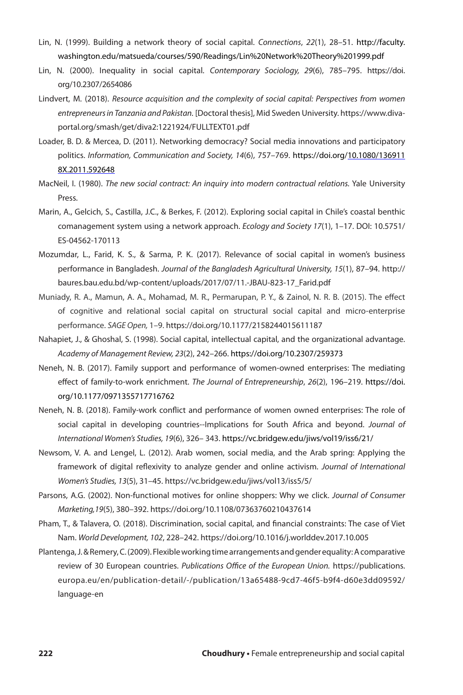- Lin, N. (1999). Building a network theory of social capital. *Connections*, *22*(1), 28–51. http://faculty. washington.edu/matsueda/courses/590/Readings/Lin%20Network%20Theory%201999.pdf
- Lin, N. (2000). Inequality in social capital. *Contemporary Sociology, 29*(6), 785–795. https://doi. org/10.2307/2654086
- Lindvert, M. (2018). *Resource acquisition and the complexity of social capital: Perspectives from women entrepreneurs in Tanzania and Pakistan.* [Doctoral thesis], Mid Sweden University. https://www.divaportal.org/smash/get/diva2:1221924/FULLTEXT01.pdf
- Loader, B. D. & Mercea, D. (2011). Networking democracy? Social media innovations and participatory politics. *Information, Communication and Society, 14*(6), 757–769. https://doi.org/10.1080/136911 8X.2011.592648
- MacNeil, I. (1980). *The new social contract: An inquiry into modern contractual relations.* Yale University Press.
- Marin, A., Gelcich, S., Castilla, J.C., & Berkes, F. (2012). Exploring social capital in Chile's coastal benthic comanagement system using a network approach. *Ecology and Society 17*(1), 1–17. DOI: 10.5751/ ES-04562-170113
- Mozumdar, L., Farid, K. S., & Sarma, P. K. (2017). Relevance of social capital in women's business performance in Bangladesh. *Journal of the Bangladesh Agricultural University, 15*(1), 87–94. http:// baures.bau.edu.bd/wp-content/uploads/2017/07/11.-JBAU-823-17\_Farid.pdf
- Muniady, R. A., Mamun, A. A., Mohamad, M. R., Permarupan, P. Y., & Zainol, N. R. B. (2015). The effect of cognitive and relational social capital on structural social capital and micro-enterprise performance. *SAGE Open,* 1–9. https://doi.org/10.1177/2158244015611187
- Nahapiet, J., & Ghoshal, S. (1998). Social capital, intellectual capital, and the organizational advantage. *Academy of Management Review, 23*(2), 242–266. https://doi.org/10.2307/259373
- Neneh, N. B. (2017). Family support and performance of women-owned enterprises: The mediating effect of family-to-work enrichment. *The Journal of Entrepreneurship*, *26*(2), 196–219. https://doi. org/10.1177/0971355717716762
- Neneh, N. B. (2018). Family-work conflict and performance of women owned enterprises: The role of social capital in developing countries--Implications for South Africa and beyond. *Journal of International Women's Studies, 19*(6), 326– 343. https://vc.bridgew.edu/jiws/vol19/iss6/21/
- Newsom, V. A. and Lengel, L. (2012). Arab women, social media, and the Arab spring: Applying the framework of digital reflexivity to analyze gender and online activism. *Journal of International Women's Studies, 13*(5), 31–45. https://vc.bridgew.edu/jiws/vol13/iss5/5/
- Parsons, A.G. (2002). Non-functional motives for online shoppers: Why we click. *Journal of Consumer Marketing,19*(5), 380–392. https://doi.org/10.1108/07363760210437614
- Pham, T., & Talavera, O. (2018). Discrimination, social capital, and financial constraints: The case of Viet Nam. *World Development, 102*, 228–242. https://doi.org/10.1016/j.worlddev.2017.10.005
- Plantenga, J. & Remery, C. (2009). Flexible working time arrangements and gender equality: A comparative review of 30 European countries. *Publications Office of the European Union.* https://publications. europa.eu/en/publication-detail/-/publication/13a65488-9cd7-46f5-b9f4-d60e3dd09592/ language-en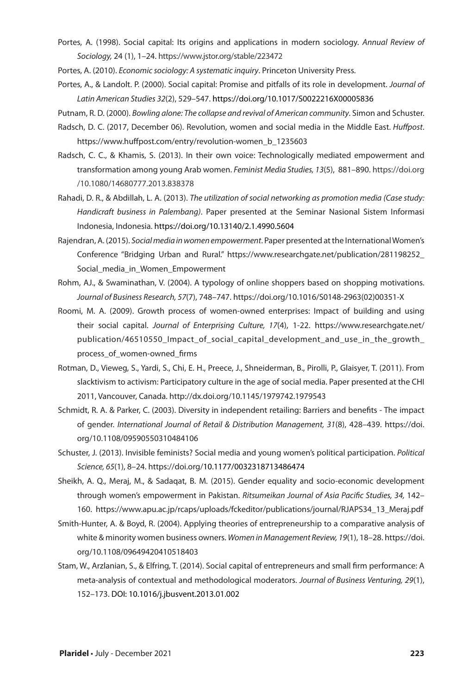Portes, A. (1998). Social capital: Its origins and applications in modern sociology. *Annual Review of Sociology,* 24 (1), 1–24. https://www.jstor.org/stable/223472

Portes, A. (2010). *Economic sociology: A systematic inquiry*. Princeton University Press.

- Portes, A., & Landolt. P. (2000). Social capital: Promise and pitfalls of its role in development. *Journal of Latin American Studies 32*(2), 529–547. https://doi.org/10.1017/S0022216X00005836
- Putnam, R. D. (2000). *Bowling alone: The collapse and revival of American community*. Simon and Schuster.
- Radsch, D. C. (2017, December 06). Revolution, women and social media in the Middle East. *Huffpost*. https://www.huffpost.com/entry/revolution-women\_b\_1235603
- Radsch, C. C., & Khamis, S. (2013). In their own voice: Technologically mediated empowerment and transformation among young Arab women. *Feminist Media Studies, 13*(5), 881–890. https://doi.org /10.1080/14680777.2013.838378
- Rahadi, D. R., & Abdillah, L. A. (2013). *The utilization of social networking as promotion media (Case study: Handicraft business in Palembang)*. Paper presented at the Seminar Nasional Sistem Informasi Indonesia, Indonesia. https://doi.org/10.13140/2.1.4990.5604
- Rajendran, A. (2015). *Social media in women empowerment*. Paper presented at the International Women's Conference "Bridging Urban and Rural." https://www.researchgate.net/publication/281198252\_ Social\_media\_in\_Women\_Empowerment
- Rohm, AJ., & Swaminathan, V. (2004). A typology of online shoppers based on shopping motivations. *Journal of Business Research, 57*(7), 748–747. https://doi.org/10.1016/S0148-2963(02)00351-X
- Roomi, M. A. (2009). Growth process of women-owned enterprises: Impact of building and using their social capital. *Journal of Enterprising Culture, 17*(4), 1-22. https://www.researchgate.net/ publication/46510550\_Impact\_of\_social\_capital\_development\_and\_use\_in\_the\_growth\_ process\_of\_women-owned\_firms
- Rotman, D., Vieweg, S., Yardi, S., Chi, E. H., Preece, J., Shneiderman, B., Pirolli, P., Glaisyer, T. (2011). From slacktivism to activism: Participatory culture in the age of social media. Paper presented at the CHI 2011, Vancouver, Canada. http://dx.doi.org/10.1145/1979742.1979543
- Schmidt, R. A. & Parker, C. (2003). Diversity in independent retailing: Barriers and benefits The impact of gender. *International Journal of Retail & Distribution Management, 31*(8), 428–439. https://doi. org/10.1108/09590550310484106
- Schuster, J. (2013). Invisible feminists? Social media and young women's political participation. *Political Science, 65*(1), 8–24. https://doi.org/10.1177/0032318713486474
- Sheikh, A. Q., Meraj, M., & Sadaqat, B. M. (2015). Gender equality and socio-economic development through women's empowerment in Pakistan. *Ritsumeikan Journal of Asia Pacific Studies, 34,* 142– 160. https://www.apu.ac.jp/rcaps/uploads/fckeditor/publications/journal/RJAPS34\_13\_Meraj.pdf
- Smith-Hunter, A. & Boyd, R. (2004). Applying theories of entrepreneurship to a comparative analysis of white & minority women business owners. *Women in Management Review, 19*(1), 18–28. https://doi. org/10.1108/09649420410518403
- Stam, W., Arzlanian, S., & Elfring, T. (2014). Social capital of entrepreneurs and small firm performance: A meta-analysis of contextual and methodological moderators. *Journal of Business Venturing, 29*(1), 152–173. DOI: 10.1016/j.jbusvent.2013.01.002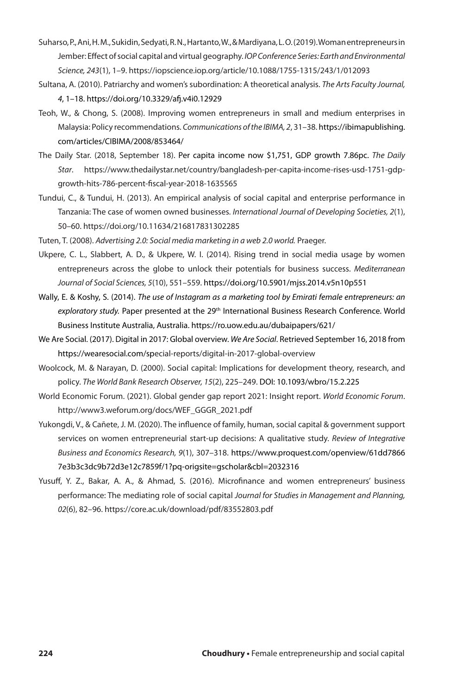- Suharso, P., Ani, H. M., Sukidin, Sedyati, R. N., Hartanto, W., & Mardiyana, L. O. (2019). Woman entrepreneurs in Jember: Effect of social capital and virtual geography. *IOP Conference Series: Earth and Environmental Science, 243*(1), 1–9. https://iopscience.iop.org/article/10.1088/1755-1315/243/1/012093
- Sultana, A. (2010). Patriarchy and women's subordination: A theoretical analysis. *The Arts Faculty Journal, 4*, 1–18. https://doi.org/10.3329/afj.v4i0.12929
- Teoh, W., & Chong, S. (2008). Improving women entrepreneurs in small and medium enterprises in Malaysia: Policy recommendations. *Communications of the IBIMA, 2*, 31–38. https://ibimapublishing. com/articles/CIBIMA/2008/853464/
- The Daily Star. (2018, September 18). Per capita income now \$1,751, GDP growth 7.86pc. *The Daily Star*. https://www.thedailystar.net/country/bangladesh-per-capita-income-rises-usd-1751-gdpgrowth-hits-786-percent-fiscal-year-2018-1635565
- Tundui, C., & Tundui, H. (2013). An empirical analysis of social capital and enterprise performance in Tanzania: The case of women owned businesses. *International Journal of Developing Societies, 2*(1), 50–60. https://doi.org/10.11634/216817831302285
- Tuten, T. (2008). *Advertising 2.0: Social media marketing in a web 2.0 world.* Praeger.
- Ukpere, C. L., Slabbert, A. D., & Ukpere, W. I. (2014). Rising trend in social media usage by women entrepreneurs across the globe to unlock their potentials for business success. *Mediterranean Journal of Social Sciences, 5*(10), 551–559. https://doi.org/10.5901/mjss.2014.v5n10p551
- Wally, E. & Koshy, S. (2014). *The use of Instagram as a marketing tool by Emirati female entrepreneurs: an*  exploratory study. Paper presented at the 29<sup>th</sup> International Business Research Conference. World Business Institute Australia, Australia. https://ro.uow.edu.au/dubaipapers/621/
- We Are Social. (2017). Digital in 2017: Global overview. *We Are Social*. Retrieved September 16, 2018 from https://wearesocial.com/special-reports/digital-in-2017-global-overview
- Woolcock, M. & Narayan, D. (2000). Social capital: Implications for development theory, research, and policy. *The World Bank Research Observer, 15*(2), 225–249. DOI: 10.1093/wbro/15.2.225
- World Economic Forum. (2021). Global gender gap report 2021: Insight report. *World Economic Forum*. http://www3.weforum.org/docs/WEF\_GGGR\_2021.pdf
- Yukongdi, V., & Cañete, J. M. (2020). The influence of family, human, social capital & government support services on women entrepreneurial start-up decisions: A qualitative study. *Review of Integrative Business and Economics Research, 9*(1), 307–318. https://www.proquest.com/openview/61dd7866 7e3b3c3dc9b72d3e12c7859f/1?pq-origsite=gscholar&cbl=2032316
- Yusuff, Y. Z., Bakar, A. A., & Ahmad, S. (2016). Microfinance and women entrepreneurs' business performance: The mediating role of social capital *Journal for Studies in Management and Planning, 02*(6), 82–96. https://core.ac.uk/download/pdf/83552803.pdf